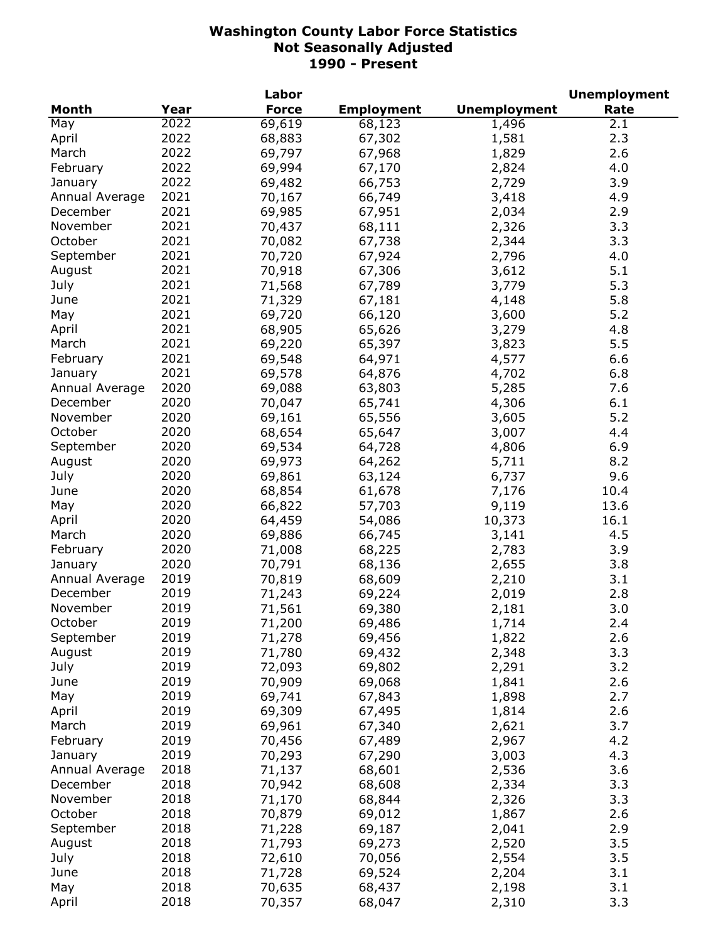|                |      | Labor        |                   |                     | <b>Unemployment</b> |
|----------------|------|--------------|-------------------|---------------------|---------------------|
| <b>Month</b>   | Year | <b>Force</b> | <b>Employment</b> | <b>Unemployment</b> | Rate                |
| May            | 2022 | 69,619       | 68,123            | 1,496               | 2.1                 |
| April          | 2022 | 68,883       | 67,302            | 1,581               | 2.3                 |
| March          | 2022 | 69,797       | 67,968            | 1,829               | 2.6                 |
| February       | 2022 | 69,994       | 67,170            | 2,824               | 4.0                 |
| January        | 2022 | 69,482       | 66,753            | 2,729               | 3.9                 |
| Annual Average | 2021 | 70,167       | 66,749            | 3,418               | 4.9                 |
| December       | 2021 | 69,985       | 67,951            | 2,034               | 2.9                 |
| November       | 2021 | 70,437       | 68,111            | 2,326               | 3.3                 |
| October        | 2021 | 70,082       | 67,738            | 2,344               | 3.3                 |
| September      | 2021 | 70,720       | 67,924            | 2,796               | 4.0                 |
|                | 2021 | 70,918       | 67,306            |                     | 5.1                 |
| August         | 2021 |              |                   | 3,612               |                     |
| July           |      | 71,568       | 67,789            | 3,779               | 5.3                 |
| June           | 2021 | 71,329       | 67,181            | 4,148               | 5.8                 |
| May            | 2021 | 69,720       | 66,120            | 3,600               | 5.2                 |
| April          | 2021 | 68,905       | 65,626            | 3,279               | 4.8                 |
| March          | 2021 | 69,220       | 65,397            | 3,823               | 5.5                 |
| February       | 2021 | 69,548       | 64,971            | 4,577               | 6.6                 |
| January        | 2021 | 69,578       | 64,876            | 4,702               | 6.8                 |
| Annual Average | 2020 | 69,088       | 63,803            | 5,285               | 7.6                 |
| December       | 2020 | 70,047       | 65,741            | 4,306               | 6.1                 |
| November       | 2020 | 69,161       | 65,556            | 3,605               | 5.2                 |
| October        | 2020 | 68,654       | 65,647            | 3,007               | 4.4                 |
| September      | 2020 | 69,534       | 64,728            | 4,806               | 6.9                 |
| August         | 2020 | 69,973       | 64,262            | 5,711               | 8.2                 |
| July           | 2020 | 69,861       | 63,124            | 6,737               | 9.6                 |
| June           | 2020 | 68,854       | 61,678            | 7,176               | 10.4                |
| May            | 2020 | 66,822       | 57,703            | 9,119               | 13.6                |
| April          | 2020 | 64,459       | 54,086            | 10,373              | 16.1                |
| March          | 2020 | 69,886       | 66,745            | 3,141               | 4.5                 |
| February       | 2020 | 71,008       | 68,225            | 2,783               | 3.9                 |
| January        | 2020 | 70,791       | 68,136            | 2,655               | 3.8                 |
| Annual Average | 2019 | 70,819       | 68,609            | 2,210               | 3.1                 |
| December       | 2019 | 71,243       | 69,224            | 2,019               | 2.8                 |
| November       | 2019 | 71,561       | 69,380            | 2,181               | 3.0                 |
| October        | 2019 | 71,200       | 69,486            | 1,714               | 2.4                 |
| September      | 2019 | 71,278       | 69,456            | 1,822               | 2.6                 |
| August         | 2019 | 71,780       | 69,432            | 2,348               | 3.3                 |
|                | 2019 |              |                   |                     | 3.2                 |
| July<br>June   | 2019 | 72,093       | 69,802<br>69,068  | 2,291<br>1,841      | 2.6                 |
|                | 2019 | 70,909       |                   |                     | 2.7                 |
| May            |      | 69,741       | 67,843            | 1,898               |                     |
| April          | 2019 | 69,309       | 67,495            | 1,814               | 2.6                 |
| March          | 2019 | 69,961       | 67,340            | 2,621               | 3.7                 |
| February       | 2019 | 70,456       | 67,489            | 2,967               | 4.2                 |
| January        | 2019 | 70,293       | 67,290            | 3,003               | 4.3                 |
| Annual Average | 2018 | 71,137       | 68,601            | 2,536               | 3.6                 |
| December       | 2018 | 70,942       | 68,608            | 2,334               | 3.3                 |
| November       | 2018 | 71,170       | 68,844            | 2,326               | 3.3                 |
| October        | 2018 | 70,879       | 69,012            | 1,867               | 2.6                 |
| September      | 2018 | 71,228       | 69,187            | 2,041               | 2.9                 |
| August         | 2018 | 71,793       | 69,273            | 2,520               | 3.5                 |
| July           | 2018 | 72,610       | 70,056            | 2,554               | 3.5                 |
| June           | 2018 | 71,728       | 69,524            | 2,204               | 3.1                 |
| May            | 2018 | 70,635       | 68,437            | 2,198               | 3.1                 |
| April          | 2018 | 70,357       | 68,047            | 2,310               | 3.3                 |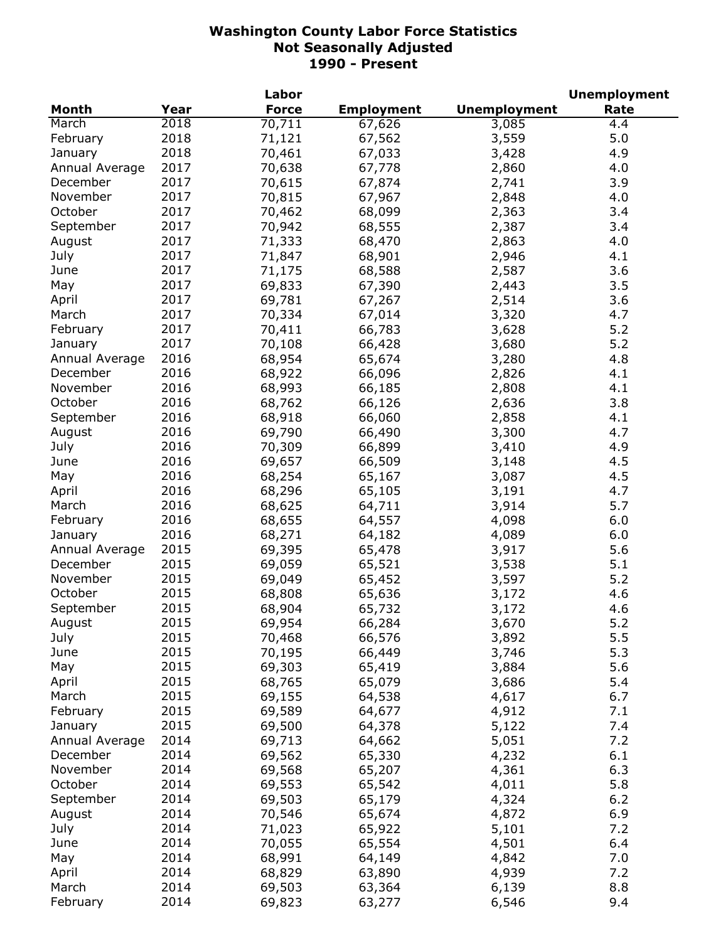|                |      | Labor        |                   |                     | <b>Unemployment</b> |
|----------------|------|--------------|-------------------|---------------------|---------------------|
| <b>Month</b>   | Year | <b>Force</b> | <b>Employment</b> | <b>Unemployment</b> | Rate                |
| March          | 2018 | 70,711       | 67,626            | 3,085               | 4.4                 |
| February       | 2018 | 71,121       | 67,562            | 3,559               | 5.0                 |
| January        | 2018 | 70,461       | 67,033            | 3,428               | 4.9                 |
| Annual Average | 2017 | 70,638       | 67,778            | 2,860               | 4.0                 |
| December       | 2017 | 70,615       | 67,874            | 2,741               | 3.9                 |
| November       | 2017 | 70,815       | 67,967            | 2,848               | 4.0                 |
| October        | 2017 | 70,462       | 68,099            | 2,363               | 3.4                 |
| September      | 2017 | 70,942       | 68,555            | 2,387               | 3.4                 |
| August         | 2017 | 71,333       | 68,470            | 2,863               | 4.0                 |
| July           | 2017 | 71,847       | 68,901            | 2,946               | 4.1                 |
| June           | 2017 | 71,175       | 68,588            | 2,587               | 3.6                 |
| May            | 2017 | 69,833       | 67,390            | 2,443               | 3.5                 |
| April          | 2017 | 69,781       |                   | 2,514               | 3.6                 |
|                | 2017 |              | 67,267            |                     | 4.7                 |
| March          |      | 70,334       | 67,014            | 3,320               |                     |
| February       | 2017 | 70,411       | 66,783            | 3,628               | 5.2                 |
| January        | 2017 | 70,108       | 66,428            | 3,680               | 5.2                 |
| Annual Average | 2016 | 68,954       | 65,674            | 3,280               | 4.8                 |
| December       | 2016 | 68,922       | 66,096            | 2,826               | 4.1                 |
| November       | 2016 | 68,993       | 66,185            | 2,808               | 4.1                 |
| October        | 2016 | 68,762       | 66,126            | 2,636               | 3.8                 |
| September      | 2016 | 68,918       | 66,060            | 2,858               | 4.1                 |
| August         | 2016 | 69,790       | 66,490            | 3,300               | 4.7                 |
| July           | 2016 | 70,309       | 66,899            | 3,410               | 4.9                 |
| June           | 2016 | 69,657       | 66,509            | 3,148               | 4.5                 |
| May            | 2016 | 68,254       | 65,167            | 3,087               | 4.5                 |
| April          | 2016 | 68,296       | 65,105            | 3,191               | 4.7                 |
| March          | 2016 | 68,625       | 64,711            | 3,914               | 5.7                 |
| February       | 2016 | 68,655       | 64,557            | 4,098               | 6.0                 |
| January        | 2016 | 68,271       | 64,182            | 4,089               | 6.0                 |
| Annual Average | 2015 | 69,395       | 65,478            | 3,917               | 5.6                 |
| December       | 2015 | 69,059       | 65,521            | 3,538               | 5.1                 |
| November       | 2015 | 69,049       | 65,452            | 3,597               | 5.2                 |
| October        | 2015 | 68,808       | 65,636            | 3,172               | 4.6                 |
| September      | 2015 | 68,904       | 65,732            | 3,172               | 4.6                 |
| August         | 2015 | 69,954       | 66,284            | 3,670               | 5.2                 |
| July           | 2015 | 70,468       | 66,576            | 3,892               | 5.5                 |
| June           | 2015 | 70,195       | 66,449            | 3,746               | 5.3                 |
| May            | 2015 | 69,303       | 65,419            | 3,884               | 5.6                 |
| April          | 2015 | 68,765       | 65,079            | 3,686               | 5.4                 |
| March          | 2015 | 69,155       | 64,538            | 4,617               | 6.7                 |
| February       | 2015 | 69,589       | 64,677            | 4,912               | 7.1                 |
| January        | 2015 | 69,500       | 64,378            | 5,122               | 7.4                 |
| Annual Average | 2014 | 69,713       | 64,662            | 5,051               | 7.2                 |
| December       | 2014 | 69,562       |                   |                     | 6.1                 |
|                |      |              | 65,330            | 4,232               |                     |
| November       | 2014 | 69,568       | 65,207            | 4,361               | 6.3                 |
| October        | 2014 | 69,553       | 65,542            | 4,011               | 5.8                 |
| September      | 2014 | 69,503       | 65,179            | 4,324               | 6.2                 |
| August         | 2014 | 70,546       | 65,674            | 4,872               | 6.9                 |
| July           | 2014 | 71,023       | 65,922            | 5,101               | 7.2                 |
| June           | 2014 | 70,055       | 65,554            | 4,501               | 6.4                 |
| May            | 2014 | 68,991       | 64,149            | 4,842               | 7.0                 |
| April          | 2014 | 68,829       | 63,890            | 4,939               | 7.2                 |
| March          | 2014 | 69,503       | 63,364            | 6,139               | 8.8                 |
| February       | 2014 | 69,823       | 63,277            | 6,546               | 9.4                 |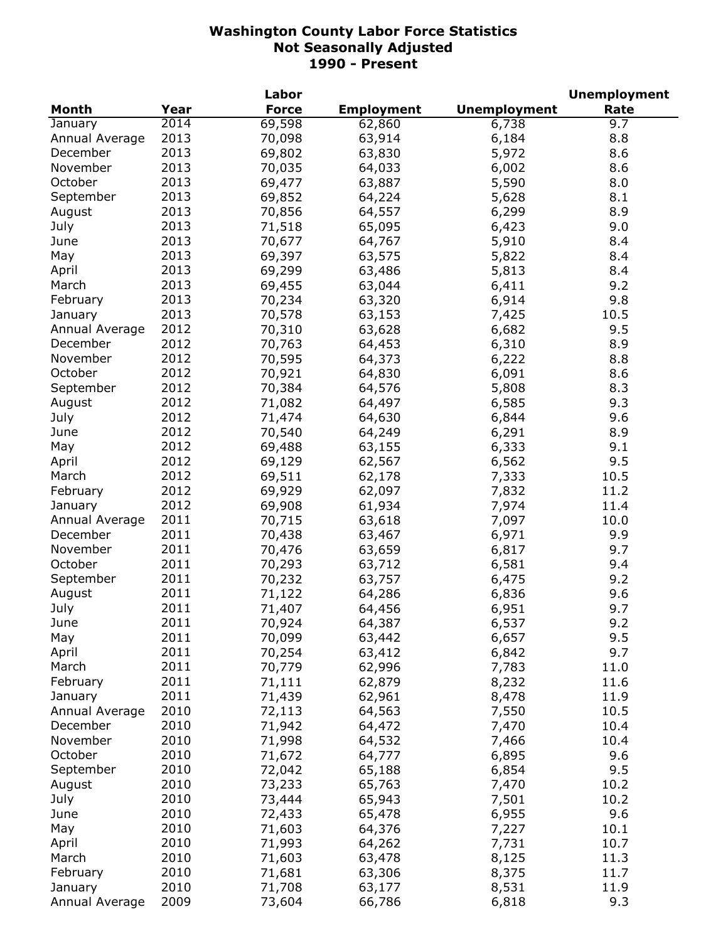|                |      | Labor        |                   |                     | <b>Unemployment</b> |
|----------------|------|--------------|-------------------|---------------------|---------------------|
| <b>Month</b>   | Year | <b>Force</b> | <b>Employment</b> | <b>Unemployment</b> | Rate                |
| January        | 2014 | 69,598       | 62,860            | 6,738               | 9.7                 |
| Annual Average | 2013 | 70,098       | 63,914            | 6,184               | 8.8                 |
| December       | 2013 | 69,802       | 63,830            | 5,972               | 8.6                 |
| November       | 2013 | 70,035       | 64,033            | 6,002               | 8.6                 |
| October        | 2013 | 69,477       | 63,887            | 5,590               | 8.0                 |
| September      | 2013 | 69,852       | 64,224            | 5,628               | 8.1                 |
| August         | 2013 | 70,856       | 64,557            | 6,299               | 8.9                 |
| July           | 2013 | 71,518       | 65,095            | 6,423               | 9.0                 |
| June           | 2013 | 70,677       | 64,767            | 5,910               | 8.4                 |
| May            | 2013 | 69,397       | 63,575            | 5,822               | 8.4                 |
| April          | 2013 | 69,299       | 63,486            | 5,813               | 8.4                 |
| March          | 2013 | 69,455       | 63,044            | 6,411               | 9.2                 |
| February       | 2013 | 70,234       | 63,320            | 6,914               | 9.8                 |
|                |      |              |                   |                     | 10.5                |
| January        | 2013 | 70,578       | 63,153            | 7,425               |                     |
| Annual Average | 2012 | 70,310       | 63,628            | 6,682               | 9.5                 |
| December       | 2012 | 70,763       | 64,453            | 6,310               | 8.9                 |
| November       | 2012 | 70,595       | 64,373            | 6,222               | 8.8                 |
| October        | 2012 | 70,921       | 64,830            | 6,091               | 8.6                 |
| September      | 2012 | 70,384       | 64,576            | 5,808               | 8.3                 |
| August         | 2012 | 71,082       | 64,497            | 6,585               | 9.3                 |
| July           | 2012 | 71,474       | 64,630            | 6,844               | 9.6                 |
| June           | 2012 | 70,540       | 64,249            | 6,291               | 8.9                 |
| May            | 2012 | 69,488       | 63,155            | 6,333               | 9.1                 |
| April          | 2012 | 69,129       | 62,567            | 6,562               | 9.5                 |
| March          | 2012 | 69,511       | 62,178            | 7,333               | 10.5                |
| February       | 2012 | 69,929       | 62,097            | 7,832               | 11.2                |
| January        | 2012 | 69,908       | 61,934            | 7,974               | 11.4                |
| Annual Average | 2011 | 70,715       | 63,618            | 7,097               | 10.0                |
| December       | 2011 | 70,438       | 63,467            | 6,971               | 9.9                 |
| November       | 2011 | 70,476       | 63,659            | 6,817               | 9.7                 |
| October        | 2011 | 70,293       | 63,712            | 6,581               | 9.4                 |
| September      | 2011 | 70,232       | 63,757            | 6,475               | 9.2                 |
| August         | 2011 | 71,122       | 64,286            | 6,836               | 9.6                 |
| July           | 2011 | 71,407       | 64,456            | 6,951               | 9.7                 |
| June           | 2011 | 70,924       | 64,387            | 6,537               | 9.2                 |
| May            | 2011 | 70,099       | 63,442            | 6,657               | 9.5                 |
| April          | 2011 | 70,254       | 63,412            | 6,842               | 9.7                 |
| March          | 2011 | 70,779       | 62,996            | 7,783               | 11.0                |
| February       | 2011 | 71,111       | 62,879            | 8,232               | 11.6                |
| January        | 2011 | 71,439       | 62,961            | 8,478               | 11.9                |
| Annual Average | 2010 | 72,113       | 64,563            | 7,550               | 10.5                |
| December       | 2010 | 71,942       | 64,472            | 7,470               | 10.4                |
|                |      |              |                   |                     |                     |
| November       | 2010 | 71,998       | 64,532            | 7,466               | 10.4                |
| October        | 2010 | 71,672       | 64,777            | 6,895               | 9.6                 |
| September      | 2010 | 72,042       | 65,188            | 6,854               | 9.5                 |
| August         | 2010 | 73,233       | 65,763            | 7,470               | 10.2                |
| July           | 2010 | 73,444       | 65,943            | 7,501               | 10.2                |
| June           | 2010 | 72,433       | 65,478            | 6,955               | 9.6                 |
| May            | 2010 | 71,603       | 64,376            | 7,227               | 10.1                |
| April          | 2010 | 71,993       | 64,262            | 7,731               | 10.7                |
| March          | 2010 | 71,603       | 63,478            | 8,125               | 11.3                |
| February       | 2010 | 71,681       | 63,306            | 8,375               | 11.7                |
| January        | 2010 | 71,708       | 63,177            | 8,531               | 11.9                |
| Annual Average | 2009 | 73,604       | 66,786            | 6,818               | 9.3                 |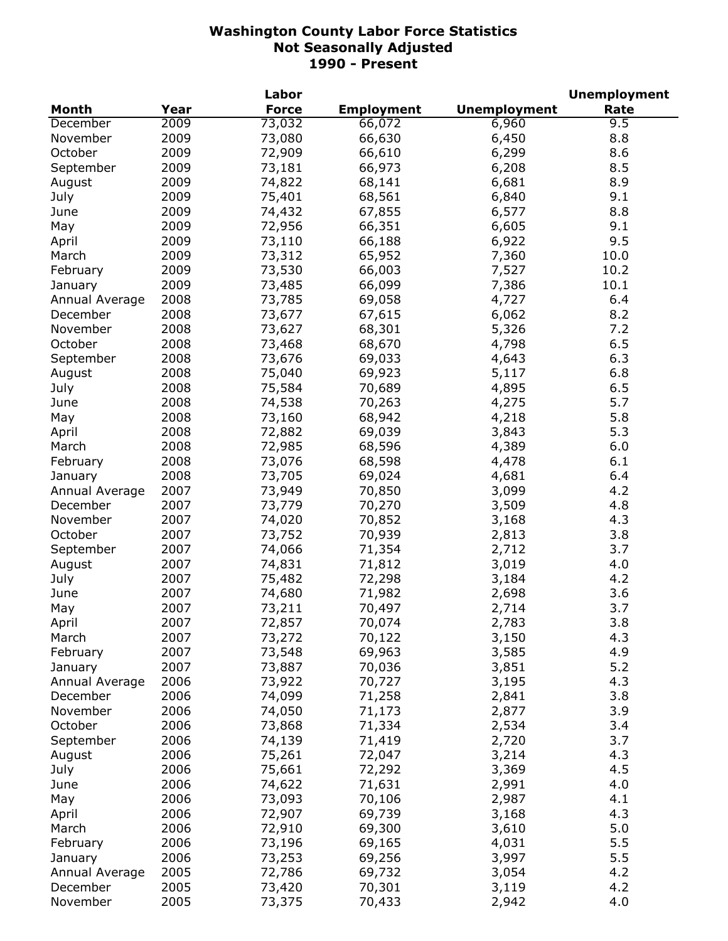|                |      | Labor        |                   |                     | <b>Unemployment</b> |
|----------------|------|--------------|-------------------|---------------------|---------------------|
| <b>Month</b>   | Year | <b>Force</b> | <b>Employment</b> | <b>Unemployment</b> | Rate                |
| December       | 2009 | 73,032       | 66,072            | 6,960               | 9.5                 |
| November       | 2009 | 73,080       | 66,630            | 6,450               | 8.8                 |
| October        | 2009 | 72,909       | 66,610            | 6,299               | 8.6                 |
| September      | 2009 | 73,181       | 66,973            | 6,208               | 8.5                 |
| August         | 2009 | 74,822       | 68,141            | 6,681               | 8.9                 |
| July           | 2009 | 75,401       | 68,561            | 6,840               | 9.1                 |
| June           | 2009 | 74,432       | 67,855            | 6,577               | 8.8                 |
| May            | 2009 | 72,956       | 66,351            | 6,605               | 9.1                 |
| April          | 2009 | 73,110       | 66,188            | 6,922               | 9.5                 |
| March          | 2009 | 73,312       | 65,952            | 7,360               | 10.0                |
| February       | 2009 | 73,530       | 66,003            | 7,527               | 10.2                |
| January        | 2009 | 73,485       | 66,099            | 7,386               | 10.1                |
| Annual Average | 2008 | 73,785       | 69,058            | 4,727               | 6.4                 |
| December       | 2008 | 73,677       | 67,615            | 6,062               | 8.2                 |
| November       | 2008 | 73,627       | 68,301            | 5,326               | 7.2                 |
| October        | 2008 | 73,468       | 68,670            | 4,798               | 6.5                 |
| September      | 2008 | 73,676       | 69,033            | 4,643               | 6.3                 |
| August         | 2008 | 75,040       | 69,923            | 5,117               | 6.8                 |
| July           | 2008 | 75,584       | 70,689            | 4,895               | 6.5                 |
| June           | 2008 | 74,538       | 70,263            | 4,275               | 5.7                 |
|                | 2008 | 73,160       | 68,942            | 4,218               | 5.8                 |
| May            |      |              |                   |                     |                     |
| April          | 2008 | 72,882       | 69,039            | 3,843               | 5.3                 |
| March          | 2008 | 72,985       | 68,596            | 4,389               | 6.0                 |
| February       | 2008 | 73,076       | 68,598            | 4,478               | 6.1                 |
| January        | 2008 | 73,705       | 69,024            | 4,681               | 6.4                 |
| Annual Average | 2007 | 73,949       | 70,850            | 3,099               | 4.2                 |
| December       | 2007 | 73,779       | 70,270            | 3,509               | 4.8                 |
| November       | 2007 | 74,020       | 70,852            | 3,168               | 4.3                 |
| October        | 2007 | 73,752       | 70,939            | 2,813               | 3.8                 |
| September      | 2007 | 74,066       | 71,354            | 2,712               | 3.7                 |
| August         | 2007 | 74,831       | 71,812            | 3,019               | 4.0                 |
| July           | 2007 | 75,482       | 72,298            | 3,184               | 4.2                 |
| June           | 2007 | 74,680       | 71,982            | 2,698               | 3.6                 |
| May            | 2007 | 73,211       | 70,497            | 2,714               | 3.7                 |
| April          | 2007 | 72,857       | 70,074            | 2,783               | 3.8                 |
| March          | 2007 | 73,272       | 70,122            | 3,150               | 4.3                 |
| February       | 2007 | 73,548       | 69,963            | 3,585               | 4.9                 |
| January        | 2007 | 73,887       | 70,036            | 3,851               | 5.2                 |
| Annual Average | 2006 | 73,922       | 70,727            | 3,195               | 4.3                 |
| December       | 2006 | 74,099       | 71,258            | 2,841               | 3.8                 |
| November       | 2006 | 74,050       | 71,173            | 2,877               | 3.9                 |
| October        | 2006 | 73,868       | 71,334            | 2,534               | 3.4                 |
| September      | 2006 | 74,139       | 71,419            | 2,720               | 3.7                 |
| August         | 2006 | 75,261       | 72,047            | 3,214               | 4.3                 |
| July           | 2006 | 75,661       | 72,292            | 3,369               | 4.5                 |
| June           | 2006 | 74,622       | 71,631            | 2,991               | 4.0                 |
| May            | 2006 | 73,093       | 70,106            | 2,987               | 4.1                 |
| April          | 2006 | 72,907       | 69,739            | 3,168               | 4.3                 |
| March          | 2006 | 72,910       | 69,300            | 3,610               | 5.0                 |
| February       | 2006 | 73,196       | 69,165            | 4,031               | 5.5                 |
| January        | 2006 | 73,253       | 69,256            | 3,997               | 5.5                 |
| Annual Average | 2005 | 72,786       | 69,732            | 3,054               | 4.2                 |
| December       | 2005 | 73,420       | 70,301            | 3,119               | 4.2                 |
| November       | 2005 | 73,375       | 70,433            | 2,942               | 4.0                 |
|                |      |              |                   |                     |                     |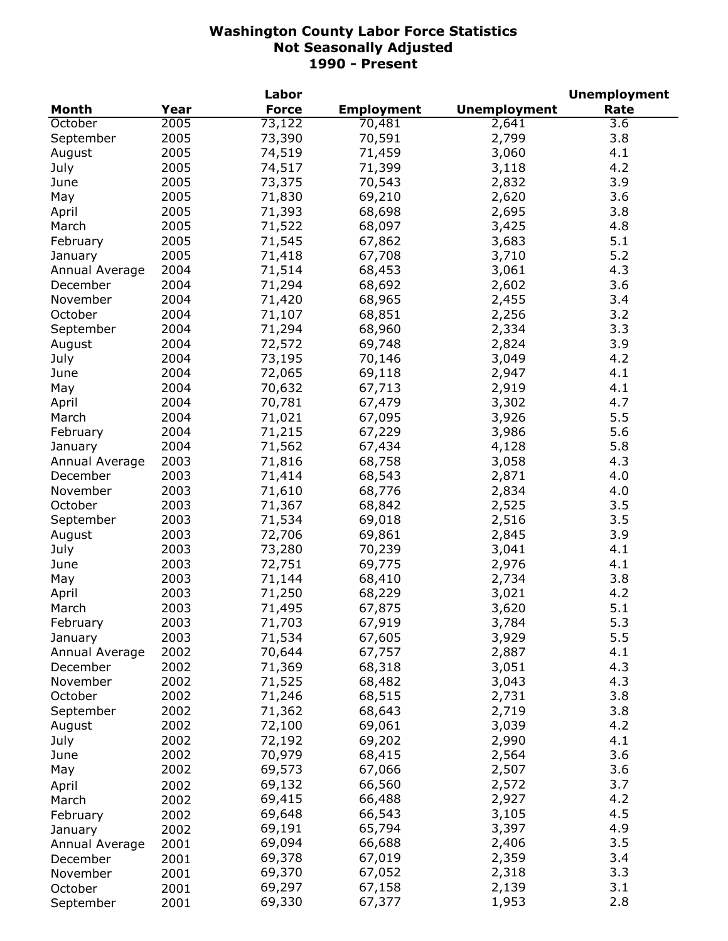|                |      | Labor        |                   |                     | <b>Unemployment</b> |
|----------------|------|--------------|-------------------|---------------------|---------------------|
| Month          | Year | <b>Force</b> | <b>Employment</b> | <b>Unemployment</b> | Rate                |
| October        | 2005 | 73,122       | 70,481            | 2,641               | 3.6                 |
| September      | 2005 | 73,390       | 70,591            | 2,799               | 3.8                 |
| August         | 2005 | 74,519       | 71,459            | 3,060               | 4.1                 |
| July           | 2005 | 74,517       | 71,399            | 3,118               | 4.2                 |
| June           | 2005 | 73,375       | 70,543            | 2,832               | 3.9                 |
| May            | 2005 | 71,830       | 69,210            | 2,620               | 3.6                 |
| April          | 2005 | 71,393       | 68,698            | 2,695               | 3.8                 |
| March          | 2005 | 71,522       | 68,097            | 3,425               | 4.8                 |
| February       | 2005 | 71,545       | 67,862            | 3,683               | 5.1                 |
| January        | 2005 | 71,418       | 67,708            | 3,710               | 5.2                 |
| Annual Average | 2004 | 71,514       | 68,453            | 3,061               | 4.3                 |
| December       | 2004 | 71,294       | 68,692            | 2,602               | 3.6                 |
| November       | 2004 | 71,420       | 68,965            | 2,455               | 3.4                 |
| October        | 2004 | 71,107       | 68,851            | 2,256               | 3.2                 |
| September      | 2004 | 71,294       | 68,960            | 2,334               | 3.3                 |
| August         | 2004 | 72,572       | 69,748            | 2,824               | 3.9                 |
|                | 2004 | 73,195       |                   | 3,049               | 4.2                 |
| July           |      |              | 70,146            |                     |                     |
| June           | 2004 | 72,065       | 69,118            | 2,947               | 4.1                 |
| May            | 2004 | 70,632       | 67,713            | 2,919               | 4.1                 |
| April          | 2004 | 70,781       | 67,479            | 3,302               | 4.7                 |
| March          | 2004 | 71,021       | 67,095            | 3,926               | 5.5                 |
| February       | 2004 | 71,215       | 67,229            | 3,986               | 5.6                 |
| January        | 2004 | 71,562       | 67,434            | 4,128               | 5.8                 |
| Annual Average | 2003 | 71,816       | 68,758            | 3,058               | 4.3                 |
| December       | 2003 | 71,414       | 68,543            | 2,871               | 4.0                 |
| November       | 2003 | 71,610       | 68,776            | 2,834               | 4.0                 |
| October        | 2003 | 71,367       | 68,842            | 2,525               | 3.5                 |
| September      | 2003 | 71,534       | 69,018            | 2,516               | 3.5                 |
| August         | 2003 | 72,706       | 69,861            | 2,845               | 3.9                 |
| July           | 2003 | 73,280       | 70,239            | 3,041               | 4.1                 |
| June           | 2003 | 72,751       | 69,775            | 2,976               | 4.1                 |
| May            | 2003 | 71,144       | 68,410            | 2,734               | 3.8                 |
| April          | 2003 | 71,250       | 68,229            | 3,021               | 4.2                 |
| March          | 2003 | 71,495       | 67,875            | 3,620               | 5.1                 |
| February       | 2003 | 71,703       | 67,919            | 3,784               | 5.3                 |
| January        | 2003 | 71,534       | 67,605            | 3,929               | 5.5                 |
| Annual Average | 2002 | 70,644       | 67,757            | 2,887               | 4.1                 |
| December       | 2002 | 71,369       | 68,318            | 3,051               | 4.3                 |
| November       | 2002 | 71,525       | 68,482            | 3,043               | 4.3                 |
| October        | 2002 | 71,246       | 68,515            | 2,731               | 3.8                 |
| September      | 2002 | 71,362       | 68,643            | 2,719               | 3.8                 |
| August         | 2002 | 72,100       | 69,061            | 3,039               | 4.2                 |
| July           | 2002 | 72,192       | 69,202            | 2,990               | 4.1                 |
| June           | 2002 | 70,979       | 68,415            | 2,564               | 3.6                 |
| May            | 2002 | 69,573       | 67,066            | 2,507               | 3.6                 |
| April          | 2002 | 69,132       | 66,560            | 2,572               | 3.7                 |
| March          | 2002 | 69,415       | 66,488            | 2,927               | 4.2                 |
| February       | 2002 | 69,648       | 66,543            | 3,105               | 4.5                 |
| January        | 2002 | 69,191       | 65,794            | 3,397               | 4.9                 |
| Annual Average | 2001 | 69,094       | 66,688            | 2,406               | 3.5                 |
| December       | 2001 | 69,378       | 67,019            | 2,359               | 3.4                 |
| November       | 2001 | 69,370       | 67,052            | 2,318               | 3.3                 |
| October        | 2001 | 69,297       | 67,158            | 2,139               | 3.1                 |
| September      | 2001 | 69,330       | 67,377            | 1,953               | 2.8                 |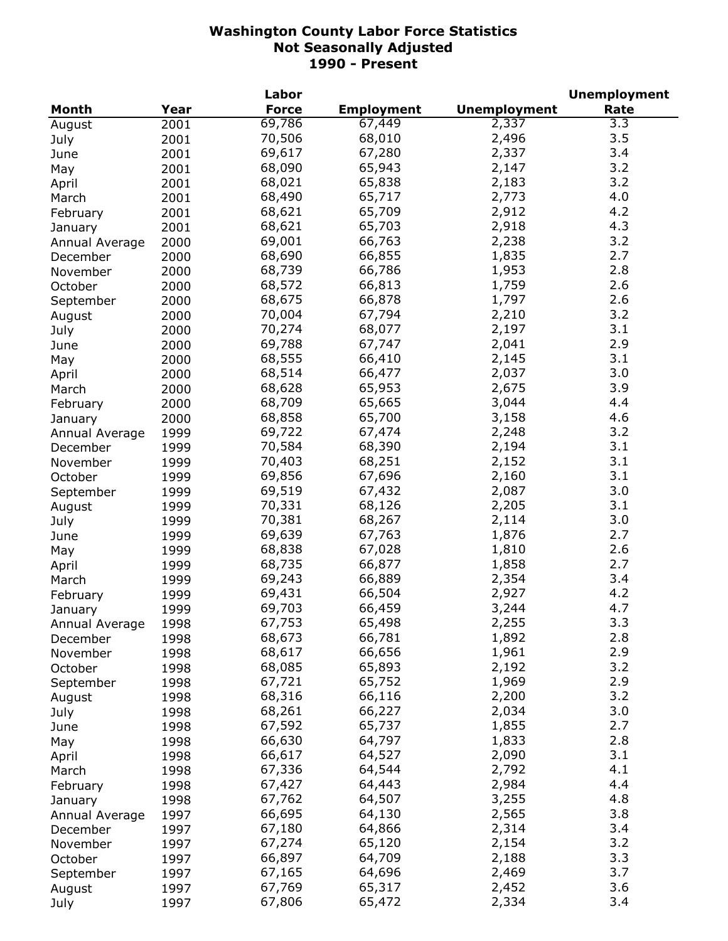|                |      | Labor        |                   |                     | <b>Unemployment</b> |
|----------------|------|--------------|-------------------|---------------------|---------------------|
| <b>Month</b>   | Year | <b>Force</b> | <b>Employment</b> | <b>Unemployment</b> | Rate                |
| August         | 2001 | 69,786       | 67,449            | 2,337               | 3.3                 |
| July           | 2001 | 70,506       | 68,010            | 2,496               | 3.5                 |
| June           | 2001 | 69,617       | 67,280            | 2,337               | 3.4                 |
| May            | 2001 | 68,090       | 65,943            | 2,147               | 3.2                 |
| April          | 2001 | 68,021       | 65,838            | 2,183               | 3.2                 |
| March          | 2001 | 68,490       | 65,717            | 2,773               | 4.0                 |
| February       | 2001 | 68,621       | 65,709            | 2,912               | 4.2                 |
| January        | 2001 | 68,621       | 65,703            | 2,918               | 4.3                 |
| Annual Average | 2000 | 69,001       | 66,763            | 2,238               | 3.2                 |
|                |      | 68,690       | 66,855            | 1,835               | 2.7                 |
| December       | 2000 | 68,739       | 66,786            | 1,953               | 2.8                 |
| November       | 2000 |              |                   |                     |                     |
| October        | 2000 | 68,572       | 66,813            | 1,759               | 2.6                 |
| September      | 2000 | 68,675       | 66,878            | 1,797               | 2.6                 |
| August         | 2000 | 70,004       | 67,794            | 2,210               | 3.2                 |
| July           | 2000 | 70,274       | 68,077            | 2,197               | 3.1                 |
| June           | 2000 | 69,788       | 67,747            | 2,041               | 2.9                 |
| May            | 2000 | 68,555       | 66,410            | 2,145               | 3.1                 |
| April          | 2000 | 68,514       | 66,477            | 2,037               | 3.0                 |
| March          | 2000 | 68,628       | 65,953            | 2,675               | 3.9                 |
| February       | 2000 | 68,709       | 65,665            | 3,044               | 4.4                 |
| January        | 2000 | 68,858       | 65,700            | 3,158               | 4.6                 |
| Annual Average | 1999 | 69,722       | 67,474            | 2,248               | 3.2                 |
| December       | 1999 | 70,584       | 68,390            | 2,194               | 3.1                 |
| November       | 1999 | 70,403       | 68,251            | 2,152               | 3.1                 |
| October        | 1999 | 69,856       | 67,696            | 2,160               | 3.1                 |
| September      | 1999 | 69,519       | 67,432            | 2,087               | 3.0                 |
| August         | 1999 | 70,331       | 68,126            | 2,205               | 3.1                 |
| July           | 1999 | 70,381       | 68,267            | 2,114               | 3.0                 |
| June           | 1999 | 69,639       | 67,763            | 1,876               | 2.7                 |
| May            | 1999 | 68,838       | 67,028            | 1,810               | 2.6                 |
| April          | 1999 | 68,735       | 66,877            | 1,858               | 2.7                 |
| March          | 1999 | 69,243       | 66,889            | 2,354               | 3.4                 |
| February       | 1999 | 69,431       | 66,504            | 2,927               | 4.2                 |
| January        | 1999 | 69,703       | 66,459            | 3,244               | 4.7                 |
| Annual Average | 1998 | 67,753       | 65,498            | 2,255               | 3.3                 |
|                | 1998 | 68,673       | 66,781            | 1,892               | 2.8                 |
| December       |      | 68,617       | 66,656            | 1,961               | 2.9                 |
| November       | 1998 | 68,085       | 65,893            | 2,192               | 3.2                 |
| October        | 1998 | 67,721       | 65,752            | 1,969               | 2.9                 |
| September      | 1998 |              |                   |                     | 3.2                 |
| August         | 1998 | 68,316       | 66,116            | 2,200               |                     |
| July           | 1998 | 68,261       | 66,227            | 2,034               | 3.0                 |
| June           | 1998 | 67,592       | 65,737            | 1,855               | 2.7                 |
| May            | 1998 | 66,630       | 64,797            | 1,833               | 2.8                 |
| April          | 1998 | 66,617       | 64,527            | 2,090               | 3.1                 |
| March          | 1998 | 67,336       | 64,544            | 2,792               | 4.1                 |
| February       | 1998 | 67,427       | 64,443            | 2,984               | 4.4                 |
| January        | 1998 | 67,762       | 64,507            | 3,255               | 4.8                 |
| Annual Average | 1997 | 66,695       | 64,130            | 2,565               | 3.8                 |
| December       | 1997 | 67,180       | 64,866            | 2,314               | 3.4                 |
| November       | 1997 | 67,274       | 65,120            | 2,154               | 3.2                 |
| October        | 1997 | 66,897       | 64,709            | 2,188               | 3.3                 |
| September      | 1997 | 67,165       | 64,696            | 2,469               | 3.7                 |
| August         | 1997 | 67,769       | 65,317            | 2,452               | 3.6                 |
| July           | 1997 | 67,806       | 65,472            | 2,334               | 3.4                 |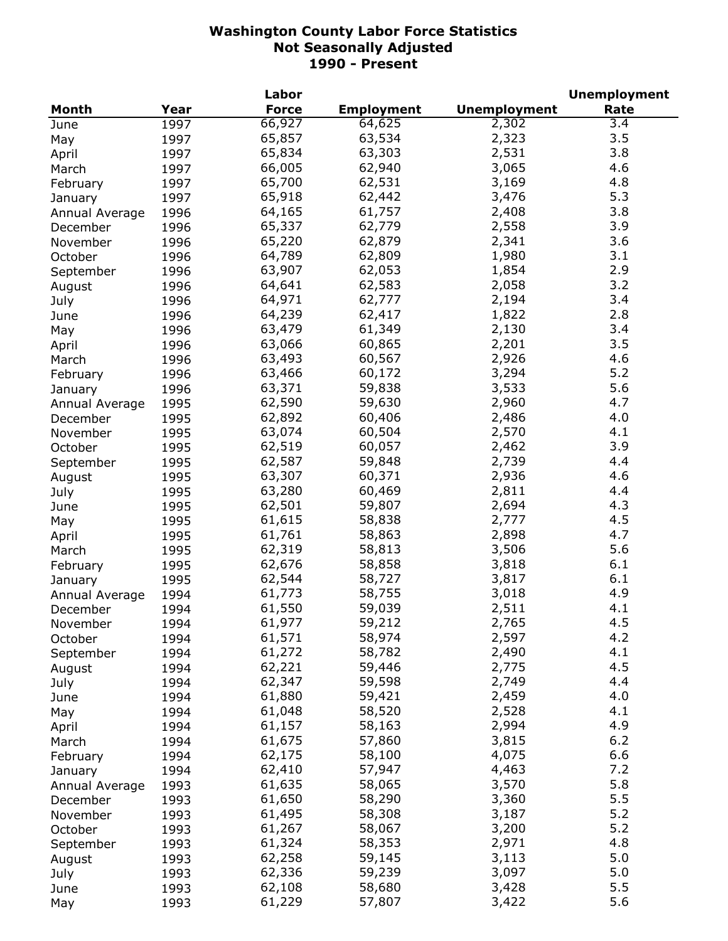|                |      | Labor        |                   |                     | <b>Unemployment</b> |
|----------------|------|--------------|-------------------|---------------------|---------------------|
| <b>Month</b>   | Year | <b>Force</b> | <b>Employment</b> | <b>Unemployment</b> | Rate                |
| June           | 1997 | 66,927       | 64,625            | 2,302               | 3.4                 |
| May            | 1997 | 65,857       | 63,534            | 2,323               | 3.5                 |
| April          | 1997 | 65,834       | 63,303            | 2,531               | 3.8                 |
| March          | 1997 | 66,005       | 62,940            | 3,065               | 4.6                 |
| February       | 1997 | 65,700       | 62,531            | 3,169               | 4.8                 |
| January        | 1997 | 65,918       | 62,442            | 3,476               | 5.3                 |
| Annual Average | 1996 | 64,165       | 61,757            | 2,408               | 3.8                 |
| December       | 1996 | 65,337       | 62,779            | 2,558               | 3.9                 |
| November       | 1996 | 65,220       | 62,879            | 2,341               | 3.6                 |
| October        | 1996 | 64,789       | 62,809            | 1,980               | 3.1                 |
|                |      | 63,907       | 62,053            | 1,854               | 2.9                 |
| September      | 1996 | 64,641       | 62,583            | 2,058               | 3.2                 |
| August         | 1996 |              |                   |                     |                     |
| July           | 1996 | 64,971       | 62,777            | 2,194               | 3.4                 |
| June           | 1996 | 64,239       | 62,417            | 1,822               | 2.8                 |
| May            | 1996 | 63,479       | 61,349            | 2,130               | 3.4                 |
| April          | 1996 | 63,066       | 60,865            | 2,201               | 3.5                 |
| March          | 1996 | 63,493       | 60,567            | 2,926               | 4.6                 |
| February       | 1996 | 63,466       | 60,172            | 3,294               | 5.2                 |
| January        | 1996 | 63,371       | 59,838            | 3,533               | 5.6                 |
| Annual Average | 1995 | 62,590       | 59,630            | 2,960               | 4.7                 |
| December       | 1995 | 62,892       | 60,406            | 2,486               | 4.0                 |
| November       | 1995 | 63,074       | 60,504            | 2,570               | 4.1                 |
| October        | 1995 | 62,519       | 60,057            | 2,462               | 3.9                 |
| September      | 1995 | 62,587       | 59,848            | 2,739               | 4.4                 |
| August         | 1995 | 63,307       | 60,371            | 2,936               | 4.6                 |
| July           | 1995 | 63,280       | 60,469            | 2,811               | 4.4                 |
| June           | 1995 | 62,501       | 59,807            | 2,694               | 4.3                 |
| May            | 1995 | 61,615       | 58,838            | 2,777               | 4.5                 |
| April          | 1995 | 61,761       | 58,863            | 2,898               | 4.7                 |
| March          | 1995 | 62,319       | 58,813            | 3,506               | 5.6                 |
| February       | 1995 | 62,676       | 58,858            | 3,818               | 6.1                 |
| January        | 1995 | 62,544       | 58,727            | 3,817               | 6.1                 |
| Annual Average | 1994 | 61,773       | 58,755            | 3,018               | 4.9                 |
| December       | 1994 | 61,550       | 59,039            | 2,511               | 4.1                 |
| November       | 1994 | 61,977       | 59,212            | 2,765               | 4.5                 |
| October        | 1994 | 61,571       | 58,974            | 2,597               | 4.2                 |
|                | 1994 | 61,272       | 58,782            | 2,490               | 4.1                 |
| September      |      | 62,221       | 59,446            | 2,775               | 4.5                 |
| August         | 1994 | 62,347       | 59,598            | 2,749               | 4.4                 |
| July           | 1994 | 61,880       | 59,421            | 2,459               | 4.0                 |
| June           | 1994 |              |                   |                     | 4.1                 |
| May            | 1994 | 61,048       | 58,520            | 2,528               |                     |
| April          | 1994 | 61,157       | 58,163            | 2,994               | 4.9                 |
| March          | 1994 | 61,675       | 57,860            | 3,815               | $6.2$               |
| February       | 1994 | 62,175       | 58,100            | 4,075               | 6.6                 |
| January        | 1994 | 62,410       | 57,947            | 4,463               | 7.2                 |
| Annual Average | 1993 | 61,635       | 58,065            | 3,570               | 5.8                 |
| December       | 1993 | 61,650       | 58,290            | 3,360               | 5.5                 |
| November       | 1993 | 61,495       | 58,308            | 3,187               | 5.2                 |
| October        | 1993 | 61,267       | 58,067            | 3,200               | 5.2                 |
| September      | 1993 | 61,324       | 58,353            | 2,971               | 4.8                 |
| August         | 1993 | 62,258       | 59,145            | 3,113               | 5.0                 |
| July           | 1993 | 62,336       | 59,239            | 3,097               | 5.0                 |
| June           | 1993 | 62,108       | 58,680            | 3,428               | 5.5                 |
| May            | 1993 | 61,229       | 57,807            | 3,422               | 5.6                 |